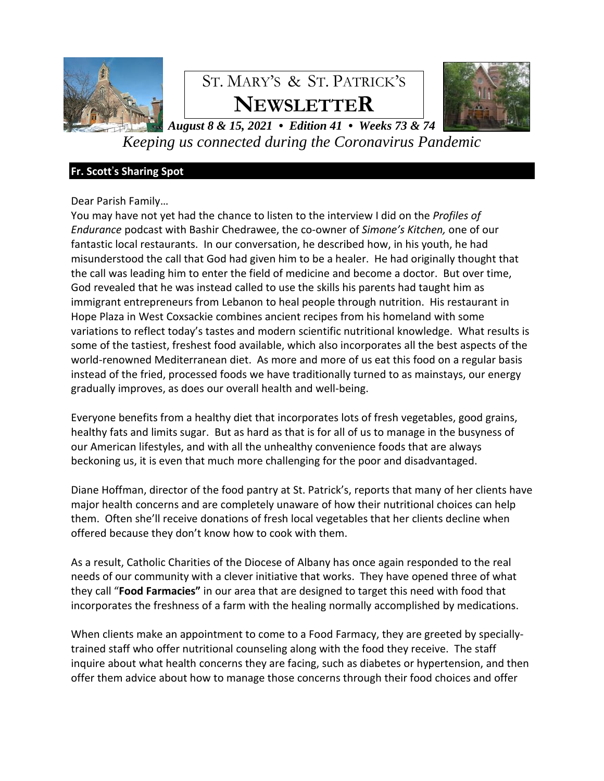

# ST. MARY'S & ST. PATRICK'S **NEWSLETTER**



*August 8 & 15, 2021 • Edition 41 • Weeks 73 & 74 Keeping us connected during the Coronavirus Pandemic*

# **Fr. Scott**'**s Sharing Spot**

# Dear Parish Family…

You may have not yet had the chance to listen to the interview I did on the *Profiles of Endurance* podcast with Bashir Chedrawee, the co-owner of *Simone's Kitchen,* one of our fantastic local restaurants. In our conversation, he described how, in his youth, he had misunderstood the call that God had given him to be a healer. He had originally thought that the call was leading him to enter the field of medicine and become a doctor. But over time, God revealed that he was instead called to use the skills his parents had taught him as immigrant entrepreneurs from Lebanon to heal people through nutrition. His restaurant in Hope Plaza in West Coxsackie combines ancient recipes from his homeland with some variations to reflect today's tastes and modern scientific nutritional knowledge. What results is some of the tastiest, freshest food available, which also incorporates all the best aspects of the world-renowned Mediterranean diet. As more and more of us eat this food on a regular basis instead of the fried, processed foods we have traditionally turned to as mainstays, our energy gradually improves, as does our overall health and well-being.

Everyone benefits from a healthy diet that incorporates lots of fresh vegetables, good grains, healthy fats and limits sugar. But as hard as that is for all of us to manage in the busyness of our American lifestyles, and with all the unhealthy convenience foods that are always beckoning us, it is even that much more challenging for the poor and disadvantaged.

Diane Hoffman, director of the food pantry at St. Patrick's, reports that many of her clients have major health concerns and are completely unaware of how their nutritional choices can help them. Often she'll receive donations of fresh local vegetables that her clients decline when offered because they don't know how to cook with them.

As a result, Catholic Charities of the Diocese of Albany has once again responded to the real needs of our community with a clever initiative that works. They have opened three of what they call "**Food Farmacies"** in our area that are designed to target this need with food that incorporates the freshness of a farm with the healing normally accomplished by medications.

When clients make an appointment to come to a Food Farmacy, they are greeted by speciallytrained staff who offer nutritional counseling along with the food they receive. The staff inquire about what health concerns they are facing, such as diabetes or hypertension, and then offer them advice about how to manage those concerns through their food choices and offer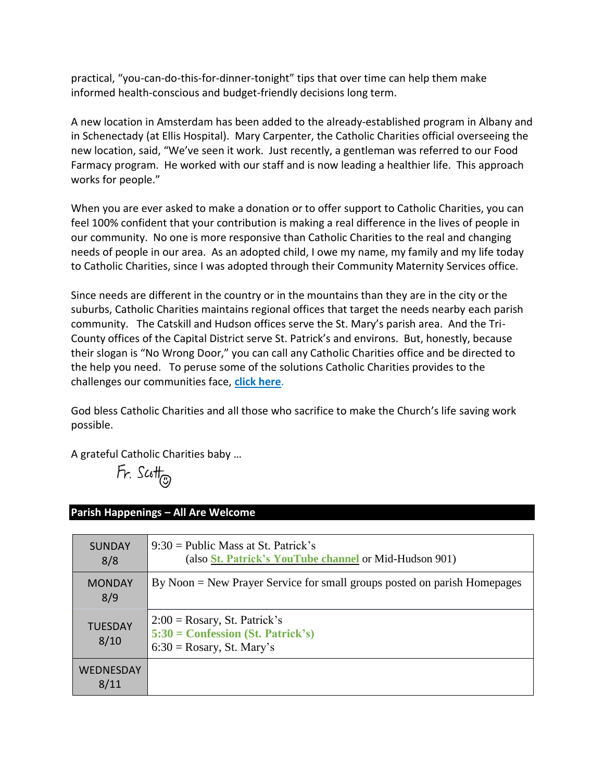practical, "you-can-do-this-for-dinner-tonight" tips that over time can help them make informed health-conscious and budget-friendly decisions long term.

A new location in Amsterdam has been added to the already-established program in Albany and in Schenectady (at Ellis Hospital). Mary Carpenter, the Catholic Charities official overseeing the new location, said, "We've seen it work. Just recently, a gentleman was referred to our Food Farmacy program. He worked with our staff and is now leading a healthier life. This approach works for people."

When you are ever asked to make a donation or to offer support to Catholic Charities, you can feel 100% confident that your contribution is making a real difference in the lives of people in our community. No one is more responsive than Catholic Charities to the real and changing needs of people in our area. As an adopted child, I owe my name, my family and my life today to Catholic Charities, since I was adopted through their Community Maternity Services office.

Since needs are different in the country or in the mountains than they are in the city or the suburbs, Catholic Charities maintains regional offices that target the needs nearby each parish community. The Catskill and Hudson offices serve the St. Mary's parish area. And the Tri-County offices of the Capital District serve St. Patrick's and environs. But, honestly, because their slogan is "No Wrong Door," you can call any Catholic Charities office and be directed to the help you need. To peruse some of the solutions Catholic Charities provides to the challenges our communities face, **[click here](https://www.ccrcda.org/agencies_and_programs/)**.

God bless Catholic Charities and all those who sacrifice to make the Church's life saving work possible.

A grateful Catholic Charities baby …

 $Fr.$  Scott

| <b>SUNDAY</b><br>8/8     | $9:30 =$ Public Mass at St. Patrick's<br>(also St. Patrick's YouTube channel or Mid-Hudson 901)        |
|--------------------------|--------------------------------------------------------------------------------------------------------|
| <b>MONDAY</b><br>8/9     | By Noon = New Prayer Service for small groups posted on parish Homepages                               |
| <b>TUESDAY</b><br>8/10   | $2:00 = Rosary$ , St. Patrick's<br>$5:30 =$ Confession (St. Patrick's)<br>$6:30 = Rosary$ , St. Mary's |
| <b>WEDNESDAY</b><br>8/11 |                                                                                                        |

# **Parish Happenings – All Are Welcome**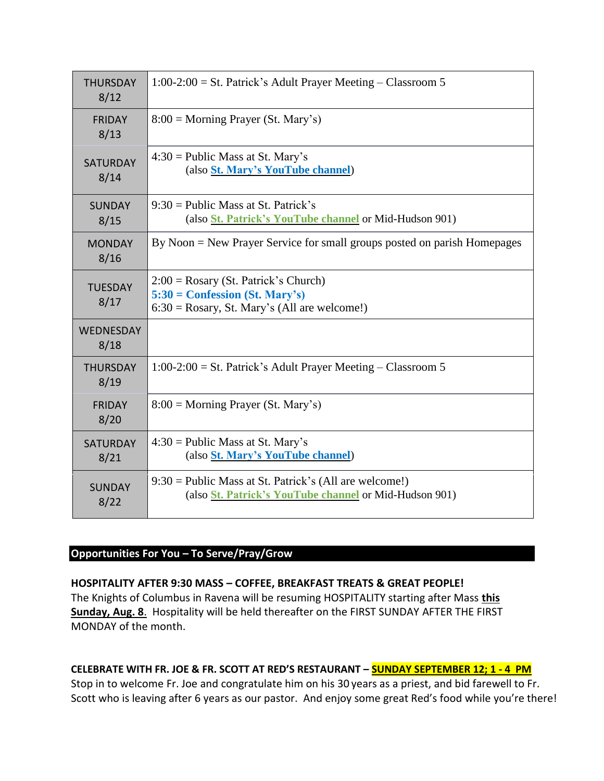| <b>THURSDAY</b><br>8/12  | $1:00-2:00 =$ St. Patrick's Adult Prayer Meeting – Classroom 5                                                                |
|--------------------------|-------------------------------------------------------------------------------------------------------------------------------|
| <b>FRIDAY</b><br>8/13    | $8:00 = \text{Morning Player (St. Mary's)}$                                                                                   |
| <b>SATURDAY</b><br>8/14  | $4:30 =$ Public Mass at St. Mary's<br>(also St. Mary's YouTube channel)                                                       |
| <b>SUNDAY</b><br>8/15    | $9:30$ = Public Mass at St. Patrick's<br>(also <i>St. Patrick's YouTube channel or Mid-Hudson 901)</i>                        |
| <b>MONDAY</b><br>8/16    | By Noon = New Prayer Service for small groups posted on parish Homepages                                                      |
| <b>TUESDAY</b><br>8/17   | $2:00 = Rosary$ (St. Patrick's Church)<br>$5:30 =$ Confession (St. Mary's)<br>$6:30 = Rosary$ , St. Mary's (All are welcome!) |
| <b>WEDNESDAY</b><br>8/18 |                                                                                                                               |
| <b>THURSDAY</b><br>8/19  | $1:00-2:00 =$ St. Patrick's Adult Prayer Meeting – Classroom 5                                                                |
| <b>FRIDAY</b><br>8/20    | $8:00 =$ Morning Prayer (St. Mary's)                                                                                          |
| <b>SATURDAY</b><br>8/21  | $4:30 =$ Public Mass at St. Mary's<br>(also St. Mary's YouTube channel)                                                       |
| <b>SUNDAY</b><br>8/22    | $9:30 =$ Public Mass at St. Patrick's (All are welcome!)<br>(also <i>St. Patrick's YouTube channel or Mid-Hudson 901)</i>     |

# **Opportunities For You – To Serve/Pray/Grow**

**HOSPITALITY AFTER 9:30 MASS – COFFEE, BREAKFAST TREATS & GREAT PEOPLE!** The Knights of Columbus in Ravena will be resuming HOSPITALITY starting after Mass **this Sunday, Aug. 8**. Hospitality will be held thereafter on the FIRST SUNDAY AFTER THE FIRST MONDAY of the month.

# **CELEBRATE WITH FR. JOE & FR. SCOTT AT RED'S RESTAURANT – SUNDAY SEPTEMBER 12; 1 - 4 PM**

Stop in to welcome Fr. Joe and congratulate him on his 30 years as a priest, and bid farewell to Fr. Scott who is leaving after 6 years as our pastor. And enjoy some great Red's food while you're there!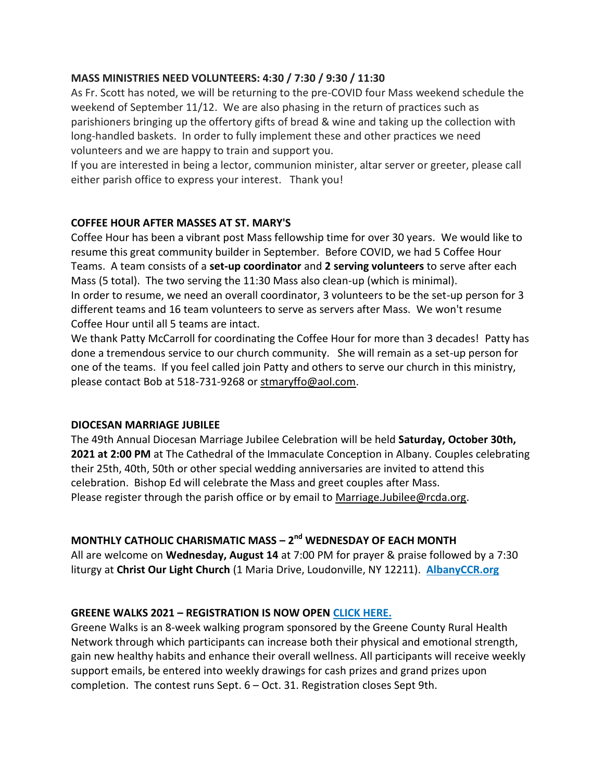# **MASS MINISTRIES NEED VOLUNTEERS: 4:30 / 7:30 / 9:30 / 11:30**

As Fr. Scott has noted, we will be returning to the pre-COVID four Mass weekend schedule the weekend of September 11/12. We are also phasing in the return of practices such as parishioners bringing up the offertory gifts of bread & wine and taking up the collection with long-handled baskets. In order to fully implement these and other practices we need volunteers and we are happy to train and support you.

If you are interested in being a lector, communion minister, altar server or greeter, please call either parish office to express your interest. Thank you!

# **COFFEE HOUR AFTER MASSES AT ST. MARY'S**

Coffee Hour has been a vibrant post Mass fellowship time for over 30 years. We would like to resume this great community builder in September. Before COVID, we had 5 Coffee Hour Teams. A team consists of a **set-up coordinator** and **2 serving volunteers** to serve after each Mass (5 total). The two serving the 11:30 Mass also clean-up (which is minimal). In order to resume, we need an overall coordinator, 3 volunteers to be the set-up person for 3 different teams and 16 team volunteers to serve as servers after Mass. We won't resume Coffee Hour until all 5 teams are intact.

We thank Patty McCarroll for coordinating the Coffee Hour for more than 3 decades! Patty has done a tremendous service to our church community. She will remain as a set-up person for one of the teams. If you feel called join Patty and others to serve our church in this ministry, please contact Bob at 518-731-9268 or [stmaryffo@aol.com.](mailto:stmaryffo@aol.com)

# **DIOCESAN MARRIAGE JUBILEE**

The 49th Annual Diocesan Marriage Jubilee Celebration will be held **Saturday, October 30th, 2021 at 2:00 PM** at The Cathedral of the Immaculate Conception in Albany. Couples celebrating their 25th, 40th, 50th or other special wedding anniversaries are invited to attend this celebration. Bishop Ed will celebrate the Mass and greet couples after Mass. Please register through the parish office or by email to [Marriage.Jubilee@rcda.org.](mailto:Marriage.Jubilee@rcda.org)

# **MONTHLY CATHOLIC CHARISMATIC MASS – 2 nd WEDNESDAY OF EACH MONTH**

All are welcome on **Wednesday, August 14** at 7:00 PM for prayer & praise followed by a 7:30 liturgy at **Christ Our Light Church** (1 Maria Drive, Loudonville, NY 12211). **[AlbanyCCR.org](http://albanyccr.org/)**

# **GREENE WALKS 2021 – REGISTRATION IS NOW OPEN [CLICK HERE.](https://www.greenehealthnetwork.com/healthy-weight-initiative/greene-walks/)**

Greene Walks is an 8-week walking program sponsored by the Greene County Rural Health Network through which participants can increase both their physical and emotional strength, gain new healthy habits and enhance their overall wellness. All participants will receive weekly support emails, be entered into weekly drawings for cash prizes and grand prizes upon completion. The contest runs Sept. 6 – Oct. 31. Registration closes Sept 9th.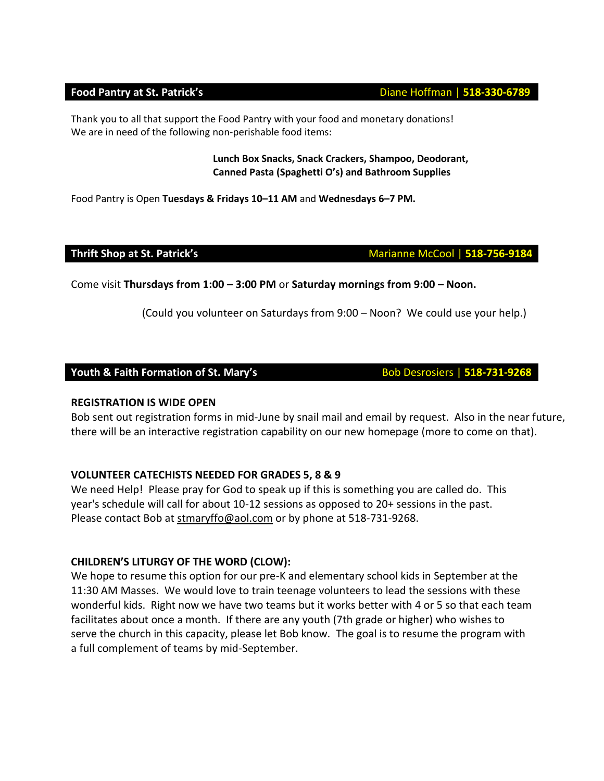Thank you to all that support the Food Pantry with your food and monetary donations! We are in need of the following non-perishable food items:

#### **Lunch Box Snacks, Snack Crackers, Shampoo, Deodorant, Canned Pasta (Spaghetti O's) and Bathroom Supplies**

Food Pantry is Open **Tuesdays & Fridays 10–11 AM** and **Wednesdays 6–7 PM.** 

Come visit **Thursdays from 1:00 – 3:00 PM** or **Saturday mornings from 9:00 – Noon.** 

(Could you volunteer on Saturdays from 9:00 – Noon? We could use your help.)

# **Youth & Faith Formation of St. Mary's**  Bob Desrosiers | 518-731-9268

# **REGISTRATION IS WIDE OPEN**

Bob sent out registration forms in mid-June by snail mail and email by request. Also in the near future, there will be an interactive registration capability on our new homepage (more to come on that).

# **VOLUNTEER CATECHISTS NEEDED FOR GRADES 5, 8 & 9**

We need Help! Please pray for God to speak up if this is something you are called do. This year's schedule will call for about 10-12 sessions as opposed to 20+ sessions in the past. Please contact Bob at [stmaryffo@aol.com](mailto:stmaryffo@aol.com) or by phone at 518-731-9268.

# **CHILDREN'S LITURGY OF THE WORD (CLOW):**

We hope to resume this option for our pre-K and elementary school kids in September at the 11:30 AM Masses. We would love to train teenage volunteers to lead the sessions with these wonderful kids. Right now we have two teams but it works better with 4 or 5 so that each team facilitates about once a month. If there are any youth (7th grade or higher) who wishes to serve the church in this capacity, please let Bob know. The goal is to resume the program with a full complement of teams by mid-September.

### **Food Pantry at St. Patrick's Diane Hoffman | 518-330-6789**

**Thrift Shop at St. Patrick's** Marianne McCool | 518-756-9184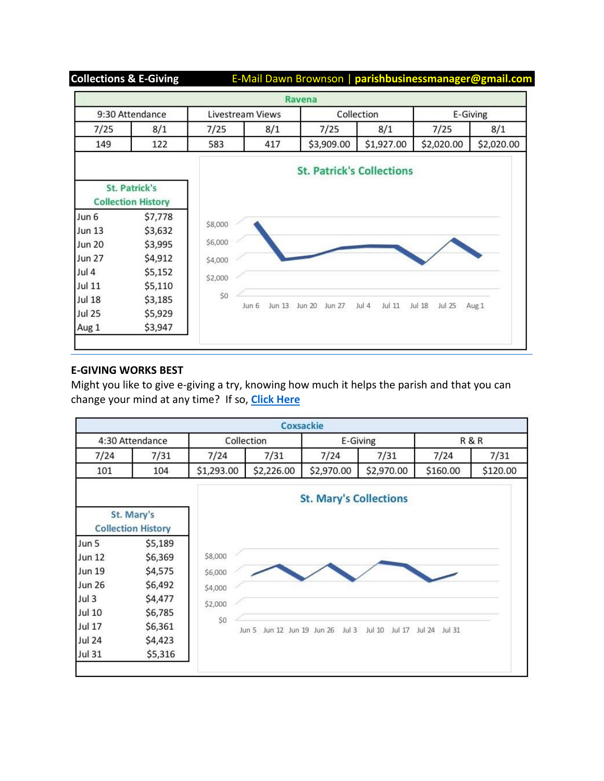**Collections & E-Giving** E-Mail Dawn Brownson | **parishbusinessmanager@gmail.com**

|                                                   |         |                  |                 | Ravena                           |                 |                  |            |
|---------------------------------------------------|---------|------------------|-----------------|----------------------------------|-----------------|------------------|------------|
| 9:30 Attendance                                   |         | Livestream Views |                 | Collection                       |                 | E-Giving         |            |
| 7/25                                              | 8/1     | 7/25             | 8/1             | 7/25                             | 8/1             | 7/25             | 8/1        |
| 149                                               | 122     | 583              | 417             | \$3,909.00                       | \$1,927.00      | \$2,020.00       | \$2,020.00 |
|                                                   |         |                  |                 | <b>St. Patrick's Collections</b> |                 |                  |            |
| <b>St. Patrick's</b><br><b>Collection History</b> |         |                  |                 |                                  |                 |                  |            |
| Jun 6                                             | \$7,778 |                  |                 |                                  |                 |                  |            |
| <b>Jun 13</b>                                     | \$3,632 | \$8,000          |                 |                                  |                 |                  |            |
| <b>Jun 20</b>                                     | \$3,995 | \$6,000          |                 |                                  |                 |                  |            |
| <b>Jun 27</b>                                     | \$4,912 | \$4,000          |                 |                                  |                 |                  |            |
| Jul 4                                             | \$5,152 |                  |                 |                                  |                 |                  |            |
| Jul 11                                            | \$5,110 | \$2,000          |                 |                                  |                 |                  |            |
| <b>Jul 18</b>                                     | \$3,185 | \$0              |                 |                                  |                 |                  |            |
| <b>Jul 25</b>                                     | \$5,929 |                  | Jun 13<br>Jun 6 | Jun 20<br><b>Jun 27</b>          | Jul 4<br>Jul 11 | Jul 25<br>Jul 18 | Aug 1      |
|                                                   | \$3,947 |                  |                 |                                  |                 |                  |            |

# **E-GIVING WORKS BEST**

Might you like to give e-giving a try, knowing how much it helps the parish and that you can change your mind at any time? If so, **[Click Here](https://docs.google.com/forms/d/e/1FAIpQLSfPDkNMWeHBdAon9_JenUdoVQ6vQbqpu0cYd2Ww0QFwtxwS7A/viewform)**

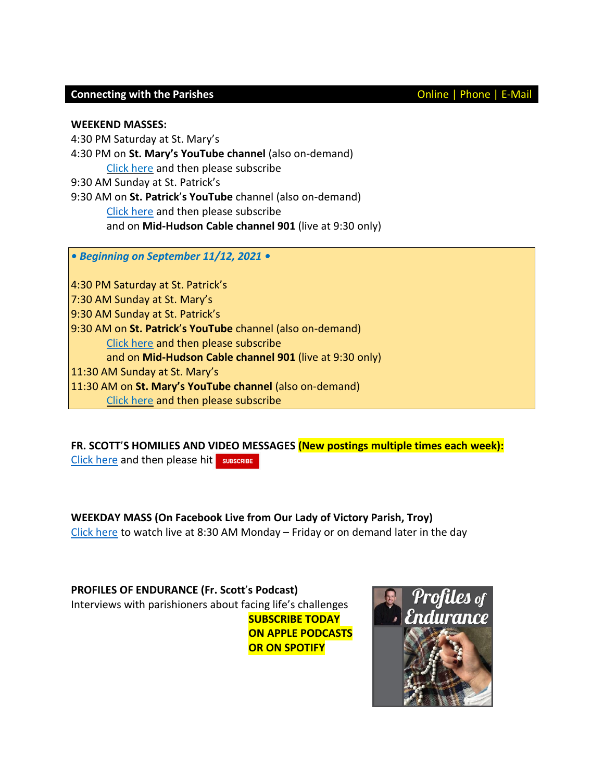### **Connecting with the Parishes Connecting with the Parishes Connecting With the Parishes**

**WEEKEND MASSES:**

4:30 PM Saturday at St. Mary's 4:30 PM on **St. Mary's YouTube channel** (also on-demand) Click [here](https://www.youtube.com/channel/UCfROBLJIztwzZryPen47Yig/featured) and then please subscribe 9:30 AM Sunday at St. Patrick's 9:30 AM on **St. Patrick**'**s YouTube** channel (also on-demand) Click [here](https://www.youtube.com/channel/UCIRr4Mwue0TdsuS3HtWm4DA) and then please subscribe and on **Mid-Hudson Cable channel 901** (live at 9:30 only)

*• Beginning on September 11/12, 2021 •*

4:30 PM Saturday at St. Patrick's 7:30 AM Sunday at St. Mary's 9:30 AM Sunday at St. Patrick's 9:30 AM on **St. Patrick**'**s YouTube** channel (also on-demand) Click [here](https://www.youtube.com/channel/UCIRr4Mwue0TdsuS3HtWm4DA) and then please subscribe and on **Mid-Hudson Cable channel 901** (live at 9:30 only) 11:30 AM Sunday at St. Mary's 11:30 AM on **St. Mary's YouTube channel** (also on-demand) Click [here](https://www.youtube.com/channel/UCfROBLJIztwzZryPen47Yig/featured) and then please subscribe

**FR. SCOTT**'**S HOMILIES AND VIDEO MESSAGES (New postings multiple times each week):** Click [here](https://www.youtube.com/channel/UCmBzEQRr6ZETPRkYtMaCxJg) and then please hit SUBSCRIBE

**WEEKDAY MASS (On Facebook Live from Our Lady of Victory Parish, Troy)** Click [here](https://www.facebook.com/olvols/) to watch live at 8:30 AM Monday – Friday or on demand later in the day

**PROFILES OF ENDURANCE (Fr. Scott**'**s Podcast)** Interviews with parishioners about facing life's challenges **SUBSCRIBE TODAY ON APPLE PODCASTS OR ON SPOTIFY**